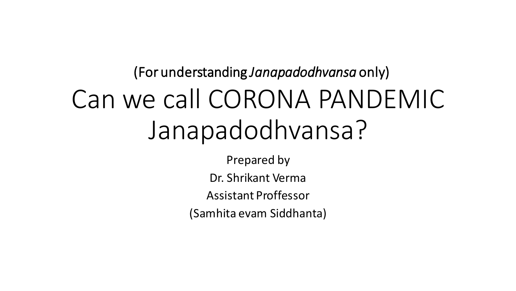# (For understanding *Janapadodhvansa* only) Can we call CORONA PANDEMIC Janapadodhvansa?

Prepared by

Dr. Shrikant Verma

Assistant Proffessor

(Samhita evam Siddhanta)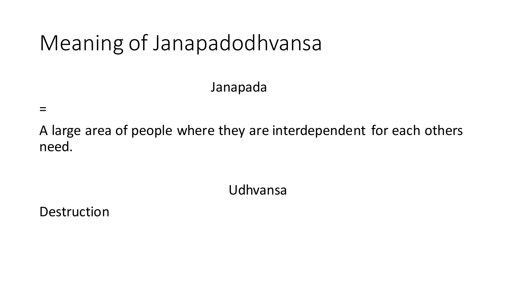# Meaning of Janapadodhvansa

Janapada

 $=$ 

A large area of people where they are interdependent for each others need.

Udhvansa

**Destruction**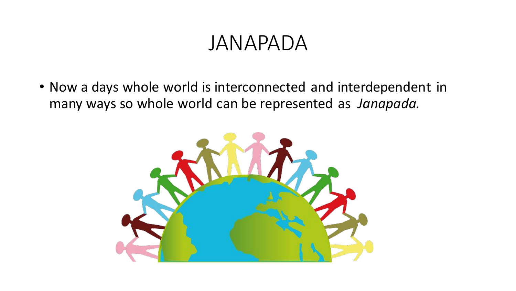#### JANAPADA

• Now a days whole world is interconnected and interdependent in many ways so whole world can be represented as *Janapada.*

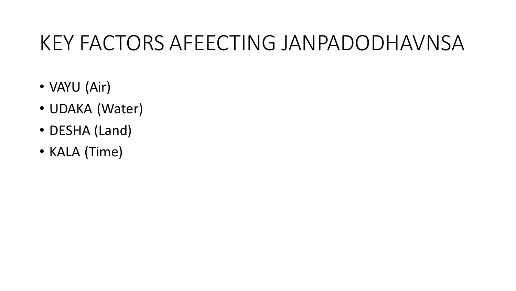# KEY FACTORS AFEECTING JANPADODHAVNSA

- VAYU (Air)
- UDAKA (Water)
- DESHA (Land)
- KALA (Time)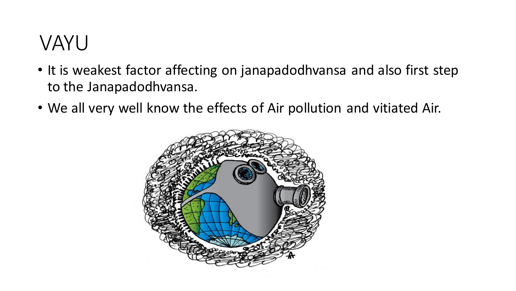## VAYU

- It is weakest factor affecting on janapadodhvansa and also first step to the Janapadodhvansa.
- We all very well know the effects of Air pollution and vitiated Air.

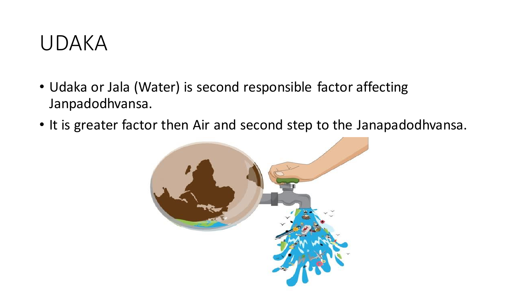

- Udaka or Jala (Water) is second responsible factor affecting Janpadodhvansa.
- It is greater factor then Air and second step to the Janapadodhvansa.

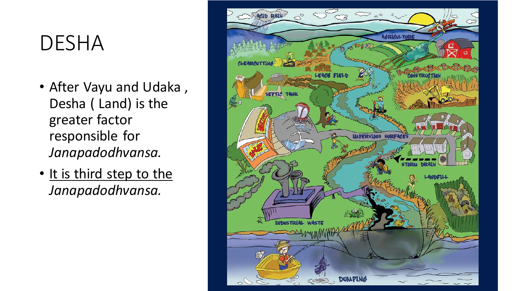# DESHA

- After Vayu and Udaka , Desha ( Land) is the greater factor responsible for *Janapadodhvansa.*
- It is third step to the *Janapadodhvansa.*

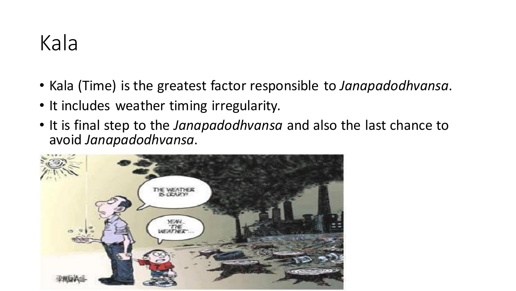# Kala

- Kala (Time) is the greatest factor responsible to *Janapadodhvansa*.
- It includes weather timing irregularity.
- It is final step to the *Janapadodhvansa* and also the last chance to avoid *Janapadodhvansa*.

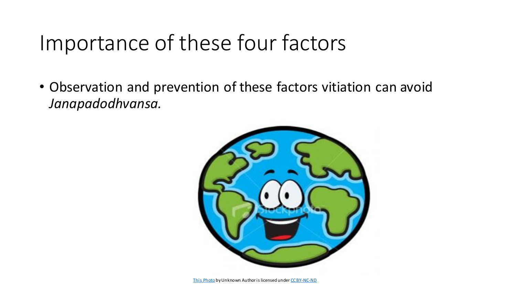# Importance of these four factors

• Observation and prevention of these factors vitiation can avoid *Janapadodhvansa.*

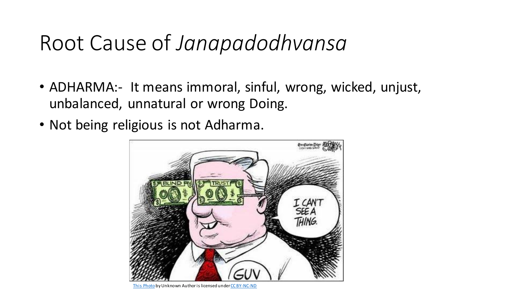# Root Cause of *Janapadodhvansa*

- ADHARMA:- It means immoral, sinful, wrong, wicked, unjust, unbalanced, unnatural or wrong Doing.
- Not being religious is not Adharma.



[This Photo](http://alabamacorruption.blogspot.com/2010/08/mississippi-governor-barbour-pulls-back.html) by Unknown Author is licensed under [CC BY-NC-ND](https://creativecommons.org/licenses/by-nc-nd/3.0/)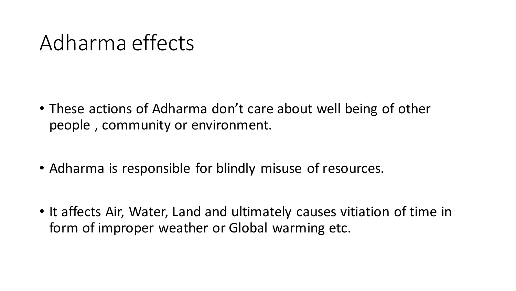## Adharma effects

- These actions of Adharma don't care about well being of other people , community or environment.
- Adharma is responsible for blindly misuse of resources.
- It affects Air, Water, Land and ultimately causes vitiation of time in form of improper weather or Global warming etc.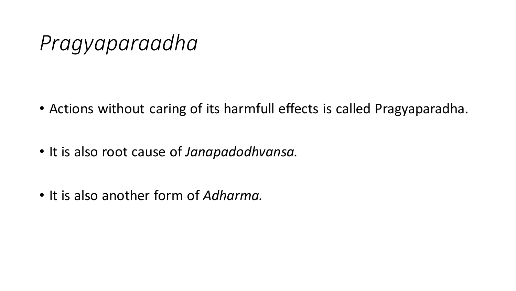#### *Pragyaparaadha*

- Actions without caring of its harmfull effects is called Pragyaparadha.
- It is also root cause of *Janapadodhvansa.*
- It is also another form of *Adharma.*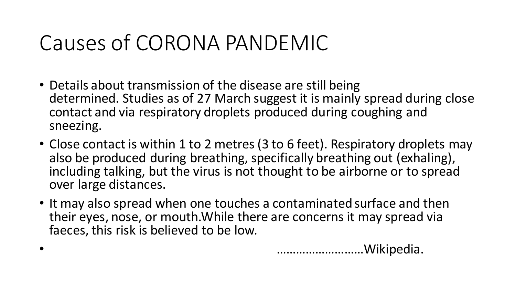# Causes of CORONA PANDEMIC

- Details about transmission of the disease are still being determined. Studies as of 27 March suggest it is mainly spread during close contact and via respiratory droplets produced during coughing and sneezing.
- Close contact is within 1 to 2 metres (3 to 6 feet). Respiratory droplets may also be produced during breathing, specifically breathing out (exhaling), including talking, but the virus is not thought to be airborne or to spread over large distances.
- It may also spread when one touches a contaminated surface and then their eyes, nose, or mouth.While there are concerns it may spread via faeces, this risk is believed to be low.

• ………………………Wikipedia.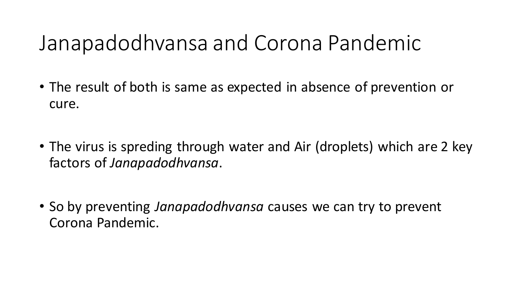# Janapadodhvansa and Corona Pandemic

- The result of both is same as expected in absence of prevention or cure.
- The virus is spreding through water and Air (droplets) which are 2 key factors of *Janapadodhvansa*.

• So by preventing *Janapadodhvansa* causes we can try to prevent Corona Pandemic.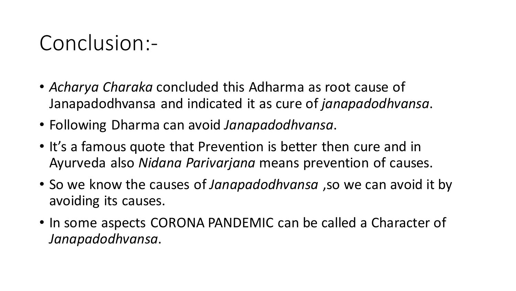# Conclusion:-

- *Acharya Charaka* concluded this Adharma as root cause of Janapadodhvansa and indicated it as cure of *janapadodhvansa*.
- Following Dharma can avoid *Janapadodhvansa*.
- It's a famous quote that Prevention is better then cure and in Ayurveda also *Nidana Parivarjana* means prevention of causes.
- So we know the causes of *Janapadodhvansa* ,so we can avoid it by avoiding its causes.
- In some aspects CORONA PANDEMIC can be called a Character of *Janapadodhvansa*.